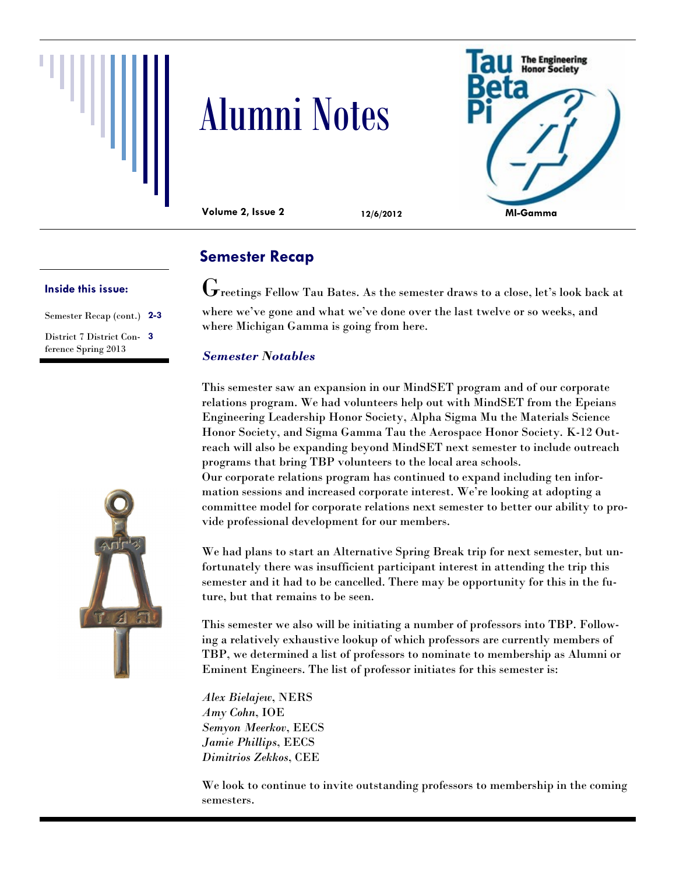





**Volume 2, Issue 2 12/6/2012**

#### **Inside this issue:**

Semester Recap (cont.) **2-3** District 7 District Con-**3** ference Spring 2013



# **Semester Recap**

 $\mathbf G$ reetings Fellow Tau Bates. As the semester draws to a close, let's look back at where we've gone and what we've done over the last twelve or so weeks, and where Michigan Gamma is going from here.

### *Semester Notables*

This semester saw an expansion in our MindSET program and of our corporate relations program. We had volunteers help out with MindSET from the Epeians Engineering Leadership Honor Society, Alpha Sigma Mu the Materials Science Honor Society, and Sigma Gamma Tau the Aerospace Honor Society. K-12 Outreach will also be expanding beyond MindSET next semester to include outreach programs that bring TBP volunteers to the local area schools. Our corporate relations program has continued to expand including ten information sessions and increased corporate interest. We're looking at adopting a committee model for corporate relations next semester to better our ability to provide professional development for our members.

We had plans to start an Alternative Spring Break trip for next semester, but unfortunately there was insufficient participant interest in attending the trip this semester and it had to be cancelled. There may be opportunity for this in the future, but that remains to be seen.

This semester we also will be initiating a number of professors into TBP. Following a relatively exhaustive lookup of which professors are currently members of TBP, we determined a list of professors to nominate to membership as Alumni or Eminent Engineers. The list of professor initiates for this semester is:

*Alex Bielajew*, NERS *Amy Cohn*, IOE *Semyon Meerkov*, EECS *Jamie Phillips*, EECS *Dimitrios Zekkos*, CEE

We look to continue to invite outstanding professors to membership in the coming semesters.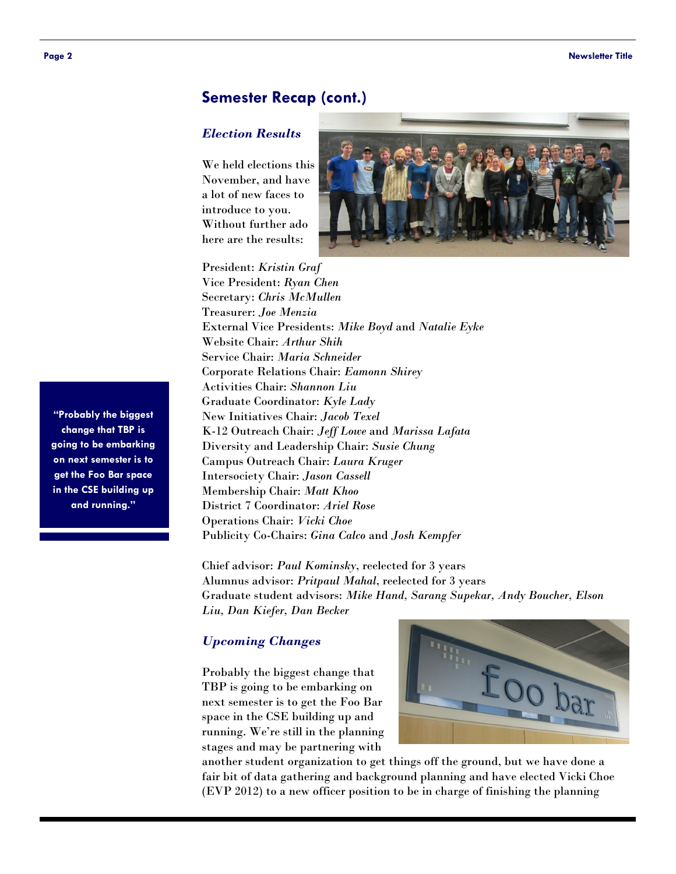## **Semester Recap (cont.)**

#### *Election Results*

We held elections this November, and have a lot of new faces to introduce to you. Without further ado here are the results:



President: *Kristin Graf* Vice President: *Ryan Chen* Secretary: *Chris McMullen* Treasurer: *Joe Menzia* External Vice Presidents: *Mike Boyd* and *Natalie Eyke* Website Chair: *Arthur Shih* Service Chair: *Maria Schneider* Corporate Relations Chair: *Eamonn Shirey* Activities Chair: *Shannon Liu* Graduate Coordinator: *Kyle Lady* New Initiatives Chair: *Jacob Texel* K-12 Outreach Chair: *Jeff Lowe* and *Marissa Lafata* Diversity and Leadership Chair: *Susie Chung* Campus Outreach Chair: *Laura Kruger* Intersociety Chair: *Jason Cassell* Membership Chair: *Matt Khoo* District 7 Coordinator: *Ariel Rose* Operations Chair: *Vicki Choe* Publicity Co-Chairs: *Gina Calco* and *Josh Kempfer*

Chief advisor: *Paul Kominsky*, reelected for 3 years Alumnus advisor: *Pritpaul Mahal*, reelected for 3 years Graduate student advisors: *Mike Hand, Sarang Supekar, Andy Boucher, Elson Liu, Dan Kiefer, Dan Becker*

#### *Upcoming Changes*

Probably the biggest change that TBP is going to be embarking on next semester is to get the Foo Bar space in the CSE building up and running. We're still in the planning stages and may be partnering with



another student organization to get things off the ground, but we have done a fair bit of data gathering and background planning and have elected Vicki Choe (EVP 2012) to a new officer position to be in charge of finishing the planning

**"Probably the biggest change that TBP is going to be embarking on next semester is to get the Foo Bar space in the CSE building up and running."**